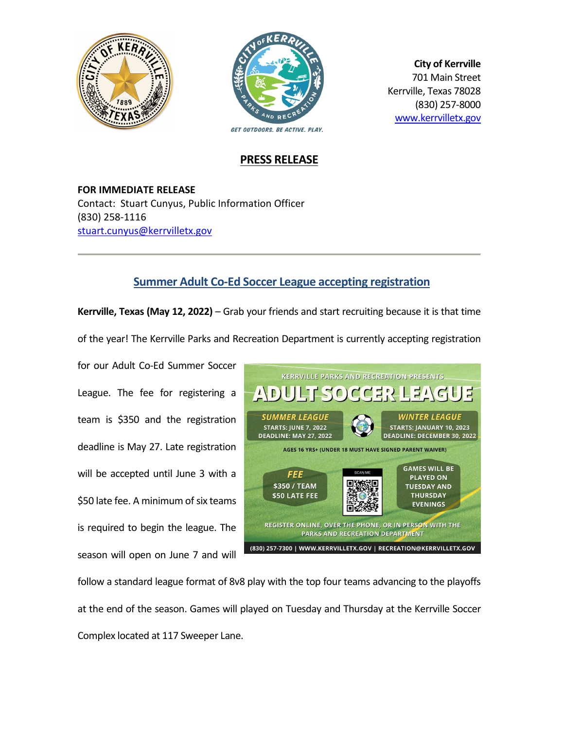



**City of Kerrville** 701 Main Street Kerrville, Texas 78028 (830) 257-8000 [www.kerrvilletx.gov](http://www.kerrvilletx.gov/)

## **PRESS RELEASE**

**FOR IMMEDIATE RELEASE** Contact: Stuart Cunyus, Public Information Officer (830) 258-1116 [stuart.cunyus@kerrvilletx.gov](mailto:stuart.cunyus@kerrvilletx.gov)

## **Summer Adult Co-Ed Soccer League accepting registration**

**Kerrville, Texas (May 12, 2022)** – Grab your friends and start recruiting because it is that time of the year! The Kerrville Parks and Recreation Department is currently accepting registration

for our Adult Co-Ed Summer Soccer League. The fee for registering a team is \$350 and the registration deadline is May 27. Late registration will be accepted until June 3 with a \$50 late fee. A minimum of six teams is required to begin the league. The season will open on June 7 and will



follow a standard league format of 8v8 play with the top four teams advancing to the playoffs at the end of the season. Games will played on Tuesday and Thursday at the Kerrville Soccer Complex located at 117 Sweeper Lane.